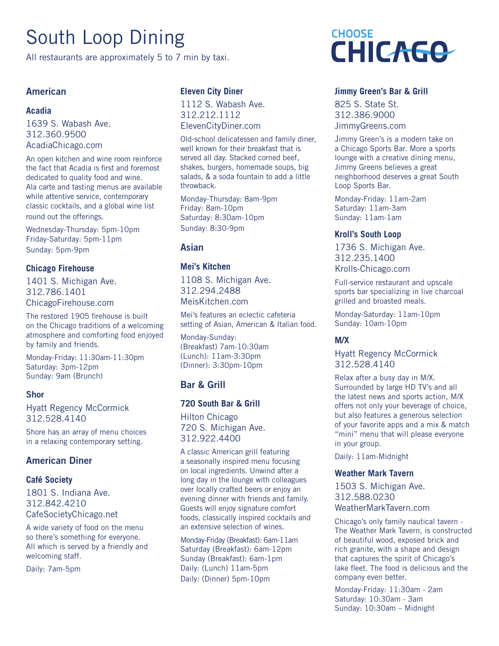# South Loop Dining

All restaurants are approximately 5 to 7 min by taxi.

# American

# **Acadia**

1639 S. Wabash Ave. 312.360.9500 AcadiaChicago.com

An open kitchen and wine room reinforce the fact that Acadia is first and foremost dedicated to quality food and wine. Ala carte and tasting menus are available while attentive service, contemporary classic cocktails, and a global wine list round out the offerings.

Wednesday-Thursday: 5pm-10pm Friday-Saturday: 5pm-11pm Sunday: 5pm-9pm

# **Chicago Firehouse**

1401 S. Michigan Ave. 312.786.1401 ChicagoFirehouse.com

The restored 1905 firehouse is built on the Chicago traditions of a welcoming atmosphere and comforting food enjoyed by family and friends.

Monday-Friday: 11:30am-11:30pm Saturday: 3pm-12pm Sunday: 9am (Brunch)

## Shor

Hyatt Regency McCormick 312.528.4140

Shore has an array of menu choices in a relaxing contemporary setting.

# American Diner

## **Café Society**

1801 S. Indiana Ave. 312.842.4210 CafeSocietyChicago.net

A wide variety of food on the menu so there's something for everyone. All which is served by a friendly and welcoming staff.

Daily: 7am-5pm

# **Eleven City Diner**

1112 S. Wabash Ave. 312.212.1112 ElevenCityDiner.com

Old-school delicatessen and family diner, well known for their breakfast that is served all day. Stacked corned beef, shakes, burgers, homemade soups, big salads, & a soda fountain to add a little throwback.

Monday-Thursday: 8am-9pm Friday: 8am-10pm Saturday: 8:30am-10pm Sunday: 8:30-9pm

# Asian

# **Mei's Kitchen**

1108 S. Michigan Ave. 312.294.2488 MeisKitchen.com

Mei's features an eclectic cafeteria setting of Asian, American & Italian food.

Monday-Sunday: (Breakfast) 7am-10:30am (Lunch): 11am-3:30pm (Dinner): 3:30pm-10pm

# Bar & Grill

# **720 South Bar & Grill**

Hilton Chicago 720 S. Michigan Ave. 312.922.4400

A classic American grill featuring a seasonally inspired menu focusing on local ingredients. Unwind after a long day in the lounge with colleagues over locally crafted beers or enjoy an evening dinner with friends and family. Guests will enjoy signature comfort foods, classically inspired cocktails and an extensive selection of wines.

Monday-Friday (Breakfast): 6am-11am Saturday (Breakfast): 6am-12pm Sunday (Breakfast): 6am-1pm Daily: (Lunch) 11am-5pm Daily: (Dinner) 5pm-10pm



# **Jimmy Green's Bar & Grill**

825 S. State St. 312.386.9000 JimmyGreens.com

Jimmy Green's is a modern take on a Chicago Sports Bar. More a sports lounge with a creative dining menu, Jimmy Greens believes a great neighborhood deserves a great South Loop Sports Bar.

Monday-Friday: 11am-2am Saturday: 11am-3am Sunday: 11am-1am

# **Kroll's South Loop**

1736 S. Michigan Ave. 312.235.1400 Krolls-Chicago.com

Full-service restaurant and upscale sports bar specializing in live charcoal grilled and broasted meals.

Monday-Saturday: 11am-10pm Sunday: 10am-10pm

## **M/X**

Hyatt Regency McCormick 312.528.4140

Relax after a busy day in M/X. Surrounded by large HD TV's and all the latest news and sports action, M/X offers not only your beverage of choice, but also features a generous selection of your favorite apps and a mix & match "mini" menu that will please everyone in your group.

Daily: 11am-Midnight

## **Weather Mark Tavern**

1503 S. Michigan Ave. 312.588.0230 WeatherMarkTavern.com

Chicago's only family nautical tavern - The Weather Mark Tavern, is constructed of beautiful wood, exposed brick and rich granite, with a shape and design that captures the spirit of Chicago's lake fleet. The food is delicious and the company even better.

Monday-Friday: 11:30am - 2am Saturday: 10:30am - 3am Sunday: 10:30am – Midnight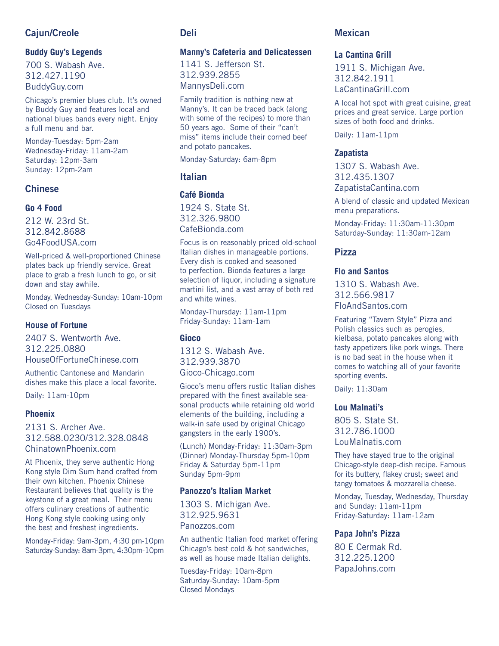# Cajun/Creole

# **Buddy Guy's Legends**

700 S. Wabash Ave. 312.427.1190 BuddyGuy.com

Chicago's premier blues club. It's owned by Buddy Guy and features local and national blues bands every night. Enjoy a full menu and bar.

Monday-Tuesday: 5pm-2am Wednesday-Friday: 11am-2am Saturday: 12pm-3am Sunday: 12pm-2am

# Chinese

#### **Go 4 Food**

212 W. 23rd St. 312.842.8688 Go4FoodUSA.com

Well-priced & well-proportioned Chinese plates back up friendly service. Great place to grab a fresh lunch to go, or sit down and stay awhile.

Monday, Wednesday-Sunday: 10am-10pm Closed on Tuesdays

#### **House of Fortune**

2407 S. Wentworth Ave. 312.225.0880 HouseOfFortuneChinese.com

Authentic Cantonese and Mandarin dishes make this place a local favorite.

Daily: 11am-10pm

#### **Phoenix**

2131 S. Archer Ave. 312.588.0230/312.328.0848 ChinatownPhoenix.com

At Phoenix, they serve authentic Hong Kong style Dim Sum hand crafted from their own kitchen. Phoenix Chinese Restaurant believes that quality is the keystone of a great meal. Their menu offers culinary creations of authentic Hong Kong style cooking using only the best and freshest ingredients.

Monday-Friday: 9am-3pm, 4:30 pm-10pm Saturday-Sunday: 8am-3pm, 4:30pm-10pm

# Deli

#### **Manny's Cafeteria and Delicatessen**

1141 S. Jefferson St. 312.939.2855 MannysDeli.com

Family tradition is nothing new at Manny's. It can be traced back (along with some of the recipes) to more than 50 years ago. Some of their "can't miss" items include their corned beef and potato pancakes.

Monday-Saturday: 6am-8pm

# Italian

## **Café Bionda**

1924 S. State St. 312.326.9800 CafeBionda.com

Focus is on reasonably priced old-school Italian dishes in manageable portions. Every dish is cooked and seasoned to perfection. Bionda features a large selection of liquor, including a signature martini list, and a vast array of both red and white wines.

Monday-Thursday: 11am-11pm Friday-Sunday: 11am-1am

#### **Gioco**

1312 S. Wabash Ave. 312.939.3870 Gioco-Chicago.com

Gioco's menu offers rustic Italian dishes prepared with the finest available seasonal products while retaining old world elements of the building, including a walk-in safe used by original Chicago gangsters in the early 1900's.

(Lunch) Monday-Friday: 11:30am-3pm (Dinner) Monday-Thursday 5pm-10pm Friday & Saturday 5pm-11pm Sunday 5pm-9pm

## **Panozzo's Italian Market**

1303 S. Michigan Ave. 312.925.9631 Panozzos.com

An authentic Italian food market offering Chicago's best cold & hot sandwiches, as well as house made Italian delights.

Tuesday-Friday: 10am-8pm Saturday-Sunday: 10am-5pm Closed Mondays

# Mexican

# **La Cantina Grill**

1911 S. Michigan Ave. 312.842.1911 LaCantinaGrill.com

A local hot spot with great cuisine, great prices and great service. Large portion sizes of both food and drinks.

Daily: 11am-11pm

# **Zapatista**

1307 S. Wabash Ave. 312.435.1307 ZapatistaCantina.com

A blend of classic and updated Mexican menu preparations.

Monday-Friday: 11:30am-11:30pm Saturday-Sunday: 11:30am-12am

# Pizza

#### **Flo and Santos**

1310 S. Wabash Ave. 312.566.9817 FloAndSantos.com

Featuring "Tavern Style" Pizza and Polish classics such as perogies, kielbasa, potato pancakes along with tasty appetizers like pork wings. There is no bad seat in the house when it comes to watching all of your favorite sporting events.

Daily: 11:30am

## **Lou Malnati's**

805 S. State St. 312.786.1000 LouMalnatis.com

They have stayed true to the original Chicago-style deep-dish recipe. Famous for its buttery, flakey crust; sweet and tangy tomatoes & mozzarella cheese.

Monday, Tuesday, Wednesday, Thursday and Sunday: 11am-11pm Friday-Saturday: 11am-12am

## **Papa John's Pizza**

80 E Cermak Rd. 312.225.1200 PapaJohns.com